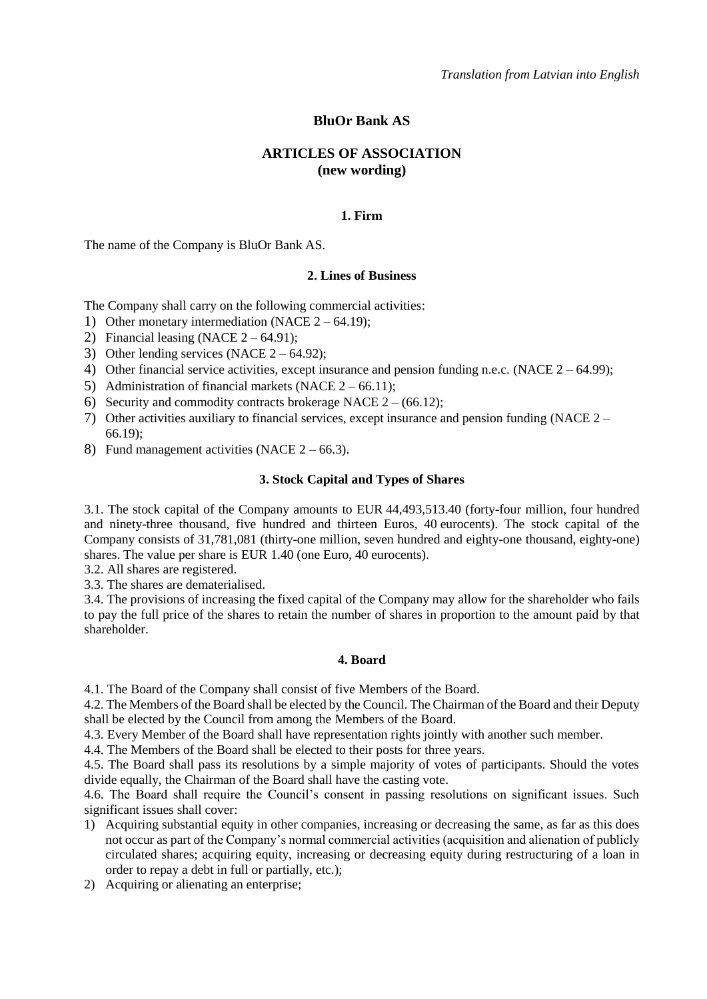# **BluOr Bank AS**

### **ARTICLES OF ASSOCIATION (new wording)**

#### **1. Firm**

The name of the Company is BluOr Bank AS.

#### **2. Lines of Business**

The Company shall carry on the following commercial activities:

- 1) Other monetary intermediation (NACE  $2 64.19$ );
- 2) Financial leasing (NACE  $2 64.91$ );
- 3) Other lending services (NACE  $2 64.92$ );
- 4) Other financial service activities, except insurance and pension funding n.e.c. (NACE  $2 64.99$ );
- 5) Administration of financial markets (NACE  $2 66.11$ );
- 6) Security and commodity contracts brokerage NACE  $2 (66.12)$ ;
- 7) Other activities auxiliary to financial services, except insurance and pension funding (NACE 2 66.19);
- 8) Fund management activities (NACE  $2 66.3$ ).

#### **3. Stock Capital and Types of Shares**

3.1. The stock capital of the Company amounts to EUR 44,493,513.40 (forty-four million, four hundred and ninety-three thousand, five hundred and thirteen Euros, 40 eurocents). The stock capital of the Company consists of 31,781,081 (thirty-one million, seven hundred and eighty-one thousand, eighty-one) shares. The value per share is EUR 1.40 (one Euro, 40 eurocents).

3.2. All shares are registered.

3.3. The shares are dematerialised.

3.4. The provisions of increasing the fixed capital of the Company may allow for the shareholder who fails to pay the full price of the shares to retain the number of shares in proportion to the amount paid by that shareholder.

#### **4. Board**

4.1. The Board of the Company shall consist of five Members of the Board.

4.2. The Members of the Board shall be elected by the Council. The Chairman of the Board and their Deputy shall be elected by the Council from among the Members of the Board.

4.3. Every Member of the Board shall have representation rights jointly with another such member.

4.4. The Members of the Board shall be elected to their posts for three years.

4.5. The Board shall pass its resolutions by a simple majority of votes of participants. Should the votes divide equally, the Chairman of the Board shall have the casting vote.

4.6. The Board shall require the Council's consent in passing resolutions on significant issues. Such significant issues shall cover:

- 1) Acquiring substantial equity in other companies, increasing or decreasing the same, as far as this does not occur as part of the Company's normal commercial activities (acquisition and alienation of publicly circulated shares; acquiring equity, increasing or decreasing equity during restructuring of a loan in order to repay a debt in full or partially, etc.);
- 2) Acquiring or alienating an enterprise;